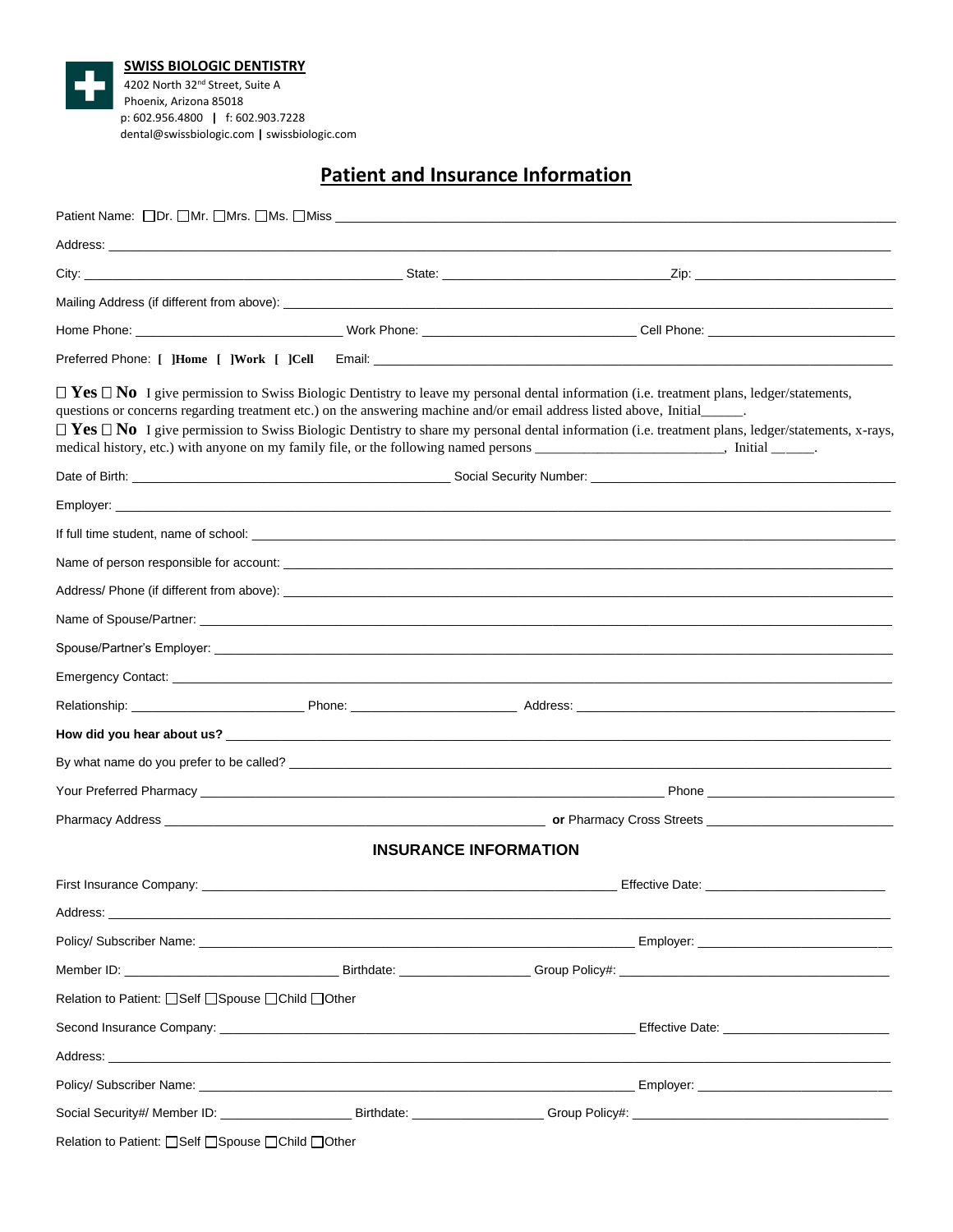

**SWISS BIOLOGIC DENTISTRY** 4202 North 32nd Street, Suite A Phoenix, Arizona 85018 p: 602.956.4800 **|** f: 602.903.7228 dental@swissbiologic.com **|** swissbiologic.com

# **Patient and Insurance Information**

| Patient Name: []Dr. []Mr. []Mrs. []Ms. []Miss __________________________________                                                                                                                                               |  |                                                                                                                                                                                                                                                                                                                                                                                                                                                                                                                                                                               |
|--------------------------------------------------------------------------------------------------------------------------------------------------------------------------------------------------------------------------------|--|-------------------------------------------------------------------------------------------------------------------------------------------------------------------------------------------------------------------------------------------------------------------------------------------------------------------------------------------------------------------------------------------------------------------------------------------------------------------------------------------------------------------------------------------------------------------------------|
|                                                                                                                                                                                                                                |  |                                                                                                                                                                                                                                                                                                                                                                                                                                                                                                                                                                               |
|                                                                                                                                                                                                                                |  |                                                                                                                                                                                                                                                                                                                                                                                                                                                                                                                                                                               |
|                                                                                                                                                                                                                                |  |                                                                                                                                                                                                                                                                                                                                                                                                                                                                                                                                                                               |
|                                                                                                                                                                                                                                |  |                                                                                                                                                                                                                                                                                                                                                                                                                                                                                                                                                                               |
|                                                                                                                                                                                                                                |  |                                                                                                                                                                                                                                                                                                                                                                                                                                                                                                                                                                               |
|                                                                                                                                                                                                                                |  | $\Box$ Yes $\Box$ No I give permission to Swiss Biologic Dentistry to leave my personal dental information (i.e. treatment plans, ledger/statements,<br>questions or concerns regarding treatment etc.) on the answering machine and/or email address listed above, Initial<br>$\Box$ Yes $\Box$ No I give permission to Swiss Biologic Dentistry to share my personal dental information (i.e. treatment plans, ledger/statements, x-rays,<br>medical history, etc.) with anyone on my family file, or the following named persons ________________________, Initial ______. |
|                                                                                                                                                                                                                                |  |                                                                                                                                                                                                                                                                                                                                                                                                                                                                                                                                                                               |
|                                                                                                                                                                                                                                |  |                                                                                                                                                                                                                                                                                                                                                                                                                                                                                                                                                                               |
|                                                                                                                                                                                                                                |  |                                                                                                                                                                                                                                                                                                                                                                                                                                                                                                                                                                               |
|                                                                                                                                                                                                                                |  |                                                                                                                                                                                                                                                                                                                                                                                                                                                                                                                                                                               |
|                                                                                                                                                                                                                                |  |                                                                                                                                                                                                                                                                                                                                                                                                                                                                                                                                                                               |
|                                                                                                                                                                                                                                |  |                                                                                                                                                                                                                                                                                                                                                                                                                                                                                                                                                                               |
|                                                                                                                                                                                                                                |  |                                                                                                                                                                                                                                                                                                                                                                                                                                                                                                                                                                               |
|                                                                                                                                                                                                                                |  |                                                                                                                                                                                                                                                                                                                                                                                                                                                                                                                                                                               |
|                                                                                                                                                                                                                                |  |                                                                                                                                                                                                                                                                                                                                                                                                                                                                                                                                                                               |
|                                                                                                                                                                                                                                |  |                                                                                                                                                                                                                                                                                                                                                                                                                                                                                                                                                                               |
|                                                                                                                                                                                                                                |  |                                                                                                                                                                                                                                                                                                                                                                                                                                                                                                                                                                               |
|                                                                                                                                                                                                                                |  |                                                                                                                                                                                                                                                                                                                                                                                                                                                                                                                                                                               |
|                                                                                                                                                                                                                                |  |                                                                                                                                                                                                                                                                                                                                                                                                                                                                                                                                                                               |
|                                                                                                                                                                                                                                |  | <b>INSURANCE INFORMATION</b>                                                                                                                                                                                                                                                                                                                                                                                                                                                                                                                                                  |
|                                                                                                                                                                                                                                |  |                                                                                                                                                                                                                                                                                                                                                                                                                                                                                                                                                                               |
| Address: _                                                                                                                                                                                                                     |  |                                                                                                                                                                                                                                                                                                                                                                                                                                                                                                                                                                               |
|                                                                                                                                                                                                                                |  |                                                                                                                                                                                                                                                                                                                                                                                                                                                                                                                                                                               |
|                                                                                                                                                                                                                                |  |                                                                                                                                                                                                                                                                                                                                                                                                                                                                                                                                                                               |
| Relation to Patient: <b>O</b> Self <b>O</b> Spouse <b>OChild</b> Other                                                                                                                                                         |  |                                                                                                                                                                                                                                                                                                                                                                                                                                                                                                                                                                               |
|                                                                                                                                                                                                                                |  | Effective Date: National Account of the Effective Date:                                                                                                                                                                                                                                                                                                                                                                                                                                                                                                                       |
| Address: the contract of the contract of the contract of the contract of the contract of the contract of the contract of the contract of the contract of the contract of the contract of the contract of the contract of the c |  |                                                                                                                                                                                                                                                                                                                                                                                                                                                                                                                                                                               |
|                                                                                                                                                                                                                                |  |                                                                                                                                                                                                                                                                                                                                                                                                                                                                                                                                                                               |
|                                                                                                                                                                                                                                |  |                                                                                                                                                                                                                                                                                                                                                                                                                                                                                                                                                                               |
| Relation to Patient: Self Spouse Ochild Other                                                                                                                                                                                  |  |                                                                                                                                                                                                                                                                                                                                                                                                                                                                                                                                                                               |